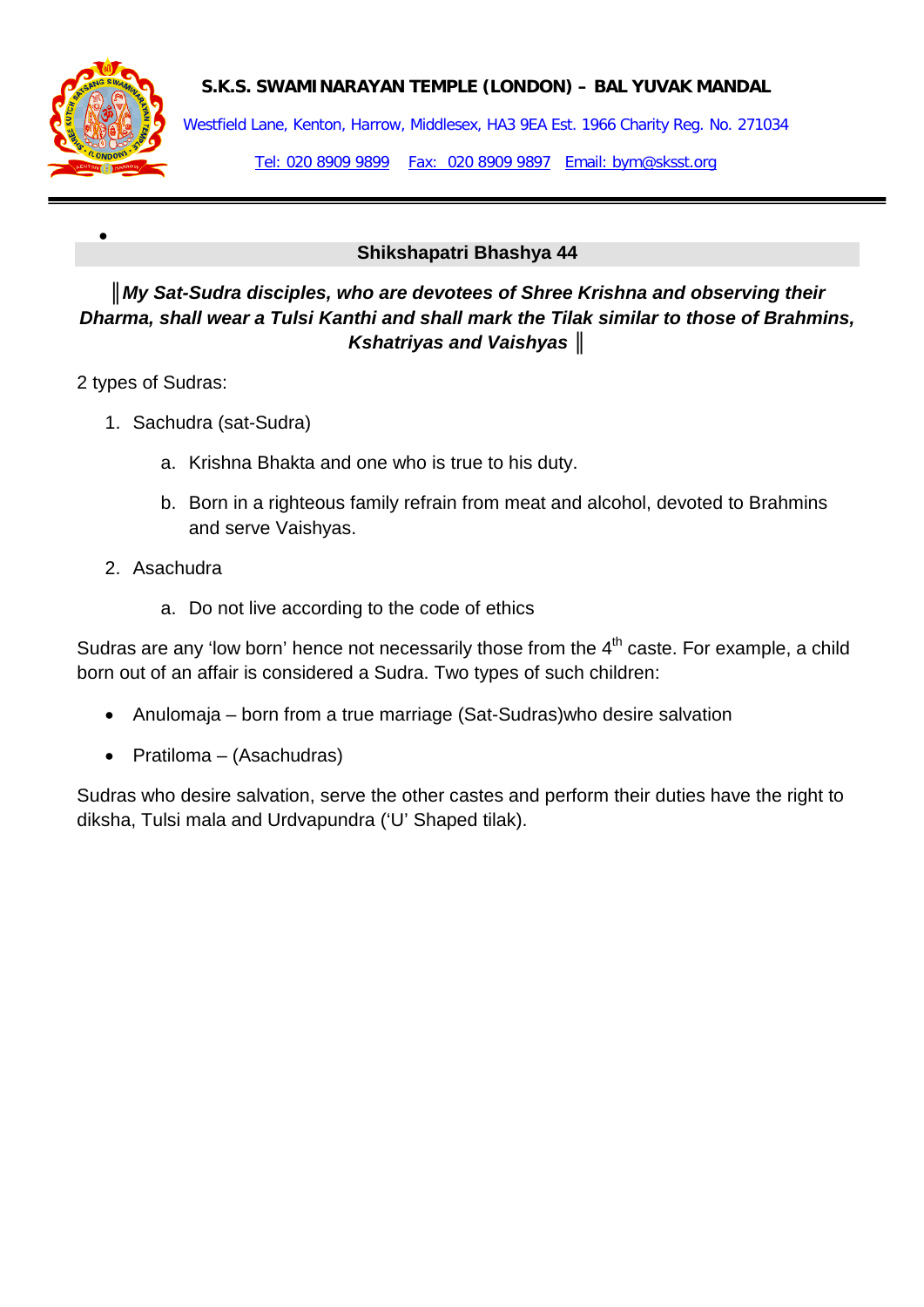**S.K.S. SWAMINARAYAN TEMPLE (LONDON) – BAL YUVAK MANDAL**



•

Westfield Lane, Kenton, Harrow, Middlesex, HA3 9EA Est. 1966 Charity Reg. No. 271034

Tel: 020 8909 9899 Fax: 020 8909 9897 Email: bym@sksst.org

#### **Shikshapatri Bhashya 44**

## ║*My Sat-Sudra disciples, who are devotees of Shree Krishna and observing their Dharma, shall wear a Tulsi Kanthi and shall mark the Tilak similar to those of Brahmins, Kshatriyas and Vaishyas* ║

2 types of Sudras:

- 1. Sachudra (sat-Sudra)
	- a. Krishna Bhakta and one who is true to his duty.
	- b. Born in a righteous family refrain from meat and alcohol, devoted to Brahmins and serve Vaishyas.
- 2. Asachudra
	- a. Do not live according to the code of ethics

Sudras are any 'low born' hence not necessarily those from the 4<sup>th</sup> caste. For example, a child born out of an affair is considered a Sudra. Two types of such children:

- Anulomaja born from a true marriage (Sat-Sudras)who desire salvation
- Pratiloma (Asachudras)

Sudras who desire salvation, serve the other castes and perform their duties have the right to diksha, Tulsi mala and Urdvapundra ('U' Shaped tilak).